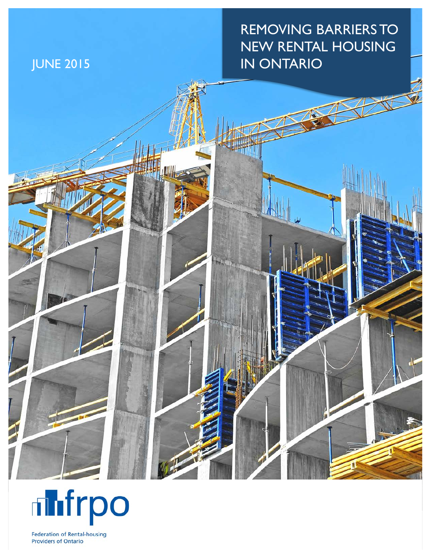REMOVING BARRIERS TO NEW RENTAL HOUSING JUNE 2015 **IN ONTARIO** 





**Federation of Rental-housing Providers of Ontario**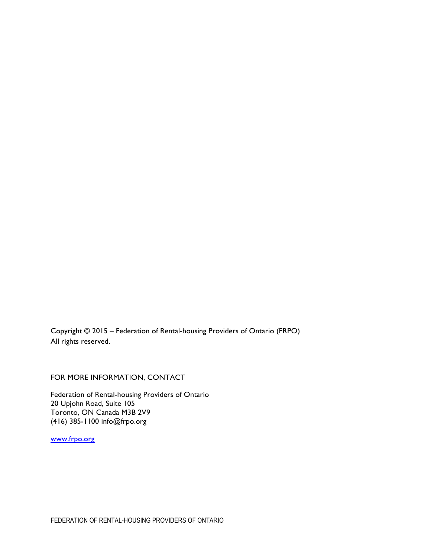Copyright © 2015 – Federation of Rental-housing Providers of Ontario (FRPO) All rights reserved.

FOR MORE INFORMATION, CONTACT

Federation of Rental-housing Providers of Ontario 20 Upjohn Road, Suite 105 Toronto, ON Canada M3B 2V9 (416) 385-1100 info@frpo.org

www.frpo.org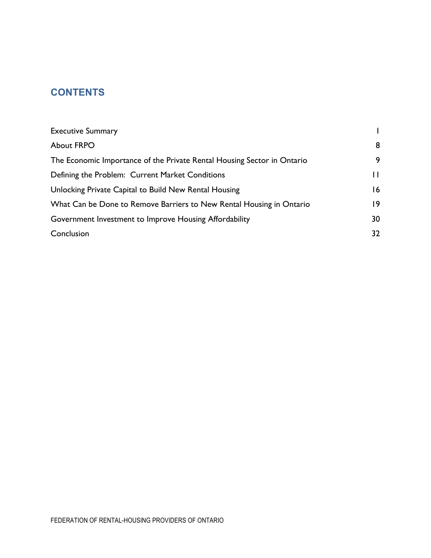# **CONTENTS**

| <b>Executive Summary</b>                                                |    |
|-------------------------------------------------------------------------|----|
| <b>About FRPO</b>                                                       | 8  |
| The Economic Importance of the Private Rental Housing Sector in Ontario | 9  |
| Defining the Problem: Current Market Conditions                         | П  |
| Unlocking Private Capital to Build New Rental Housing                   | 16 |
| What Can be Done to Remove Barriers to New Rental Housing in Ontario    | 9  |
| Government Investment to Improve Housing Affordability                  | 30 |
| Conclusion                                                              | 32 |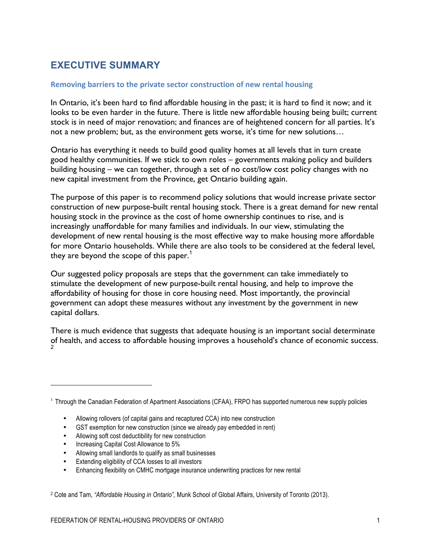# **EXECUTIVE SUMMARY**

#### **Removing barriers to the private sector construction of new rental housing**

In Ontario, it's been hard to find affordable housing in the past; it is hard to find it now; and it looks to be even harder in the future. There is little new affordable housing being built; current stock is in need of major renovation; and finances are of heightened concern for all parties. It's not a new problem; but, as the environment gets worse, it's time for new solutions…

Ontario has everything it needs to build good quality homes at all levels that in turn create good healthy communities. If we stick to own roles – governments making policy and builders building housing – we can together, through a set of no cost/low cost policy changes with no new capital investment from the Province, get Ontario building again.

The purpose of this paper is to recommend policy solutions that would increase private sector construction of new purpose-built rental housing stock. There is a great demand for new rental housing stock in the province as the cost of home ownership continues to rise, and is increasingly unaffordable for many families and individuals. In our view, stimulating the development of new rental housing is the most effective way to make housing more affordable for more Ontario households. While there are also tools to be considered at the federal level, they are beyond the scope of this paper.<sup>1</sup>

Our suggested policy proposals are steps that the government can take immediately to stimulate the development of new purpose-built rental housing, and help to improve the affordability of housing for those in core housing need. Most importantly, the provincial government can adopt these measures without any investment by the government in new capital dollars.

There is much evidence that suggests that adequate housing is an important social determinate of health, and access to affordable housing improves a household's chance of economic success. 2

- Allowing soft cost deductibility for new construction
- Increasing Capital Cost Allowance to 5%

<u>.</u>

- Allowing small landlords to qualify as small businesses
- Extending eligibility of CCA losses to all investors
- Enhancing flexibility on CMHC mortgage insurance underwriting practices for new rental

<sup>2</sup> Cote and Tam, *"Affordable Housing in Ontario",* Munk School of Global Affairs, University of Toronto (2013).

<sup>1</sup> Through the Canadian Federation of Apartment Associations (CFAA), FRPO has supported numerous new supply policies

<sup>•</sup> Allowing rollovers (of capital gains and recaptured CCA) into new construction

<sup>•</sup> GST exemption for new construction (since we already pay embedded in rent)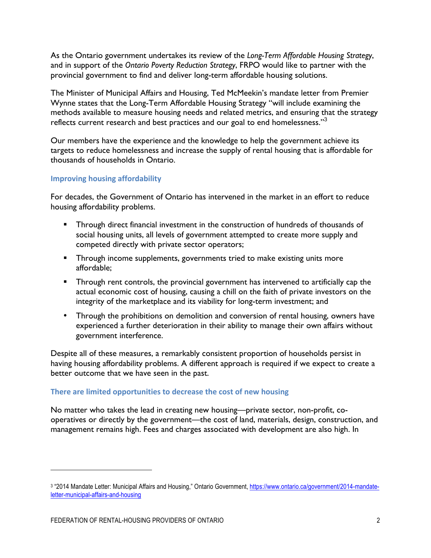As the Ontario government undertakes its review of the *Long-Term Affordable Housing Strategy*, and in support of the *Ontario Poverty Reduction Strategy*, FRPO would like to partner with the provincial government to find and deliver long-term affordable housing solutions.

The Minister of Municipal Affairs and Housing, Ted McMeekin's mandate letter from Premier Wynne states that the Long-Term Affordable Housing Strategy "will include examining the methods available to measure housing needs and related metrics, and ensuring that the strategy reflects current research and best practices and our goal to end homelessness."<sup>3</sup>

Our members have the experience and the knowledge to help the government achieve its targets to reduce homelessness and increase the supply of rental housing that is affordable for thousands of households in Ontario.

#### **Improving housing affordability**

For decades, the Government of Ontario has intervened in the market in an effort to reduce housing affordability problems.

- § Through direct financial investment in the construction of hundreds of thousands of social housing units, all levels of government attempted to create more supply and competed directly with private sector operators;
- **•** Through income supplements, governments tried to make existing units more affordable;
- Through rent controls, the provincial government has intervened to artificially cap the actual economic cost of housing, causing a chill on the faith of private investors on the integrity of the marketplace and its viability for long-term investment; and
- Through the prohibitions on demolition and conversion of rental housing, owners have experienced a further deterioration in their ability to manage their own affairs without government interference.

Despite all of these measures, a remarkably consistent proportion of households persist in having housing affordability problems. A different approach is required if we expect to create a better outcome that we have seen in the past.

#### There are limited opportunities to decrease the cost of new housing

No matter who takes the lead in creating new housing—private sector, non-profit, cooperatives or directly by the government—the cost of land, materials, design, construction, and management remains high. Fees and charges associated with development are also high. In

<u>.</u>

<sup>&</sup>lt;sup>3</sup> "2014 Mandate Letter: Municipal Affairs and Housing," Ontario Government, https://www.ontario.ca/government/2014-mandateletter-municipal-affairs-and-housing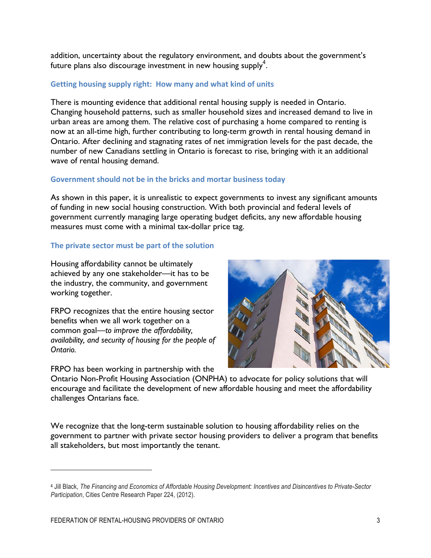addition, uncertainty about the regulatory environment, and doubts about the government's future plans also discourage investment in new housing supply<sup>4</sup>.

#### **Getting housing supply right: How many and what kind of units**

There is mounting evidence that additional rental housing supply is needed in Ontario. Changing household patterns, such as smaller household sizes and increased demand to live in urban areas are among them. The relative cost of purchasing a home compared to renting is now at an all-time high, further contributing to long-term growth in rental housing demand in Ontario. After declining and stagnating rates of net immigration levels for the past decade, the number of new Canadians settling in Ontario is forecast to rise, bringing with it an additional wave of rental housing demand.

#### Government should not be in the bricks and mortar business today

As shown in this paper, it is unrealistic to expect governments to invest any significant amounts of funding in new social housing construction. With both provincial and federal levels of government currently managing large operating budget deficits, any new affordable housing measures must come with a minimal tax-dollar price tag.

#### The private sector must be part of the solution

Housing affordability cannot be ultimately achieved by any one stakeholder—it has to be the industry, the community, and government working together.

FRPO recognizes that the entire housing sector benefits when we all work together on a common goal—*to improve the affordability, availability, and security of housing for the people of Ontario.*

FRPO has been working in partnership with the



Ontario Non-Profit Housing Association (ONPHA) to advocate for policy solutions that will encourage and facilitate the development of new affordable housing and meet the affordability challenges Ontarians face.

We recognize that the long-term sustainable solution to housing affordability relies on the government to partner with private sector housing providers to deliver a program that benefits all stakeholders, but most importantly the tenant.

<u>.</u>

<sup>4</sup> Jill Black, *The Financing and Economics of Affordable Housing Development: Incentives and Disincentives to Private-Sector Participation*, Cities Centre Research Paper 224, (2012).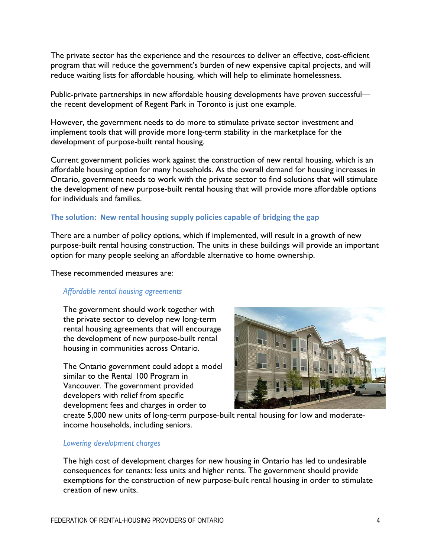The private sector has the experience and the resources to deliver an effective, cost-efficient program that will reduce the government's burden of new expensive capital projects, and will reduce waiting lists for affordable housing, which will help to eliminate homelessness.

Public-private partnerships in new affordable housing developments have proven successful the recent development of Regent Park in Toronto is just one example.

However, the government needs to do more to stimulate private sector investment and implement tools that will provide more long-term stability in the marketplace for the development of purpose-built rental housing.

Current government policies work against the construction of new rental housing, which is an affordable housing option for many households. As the overall demand for housing increases in Ontario, government needs to work with the private sector to find solutions that will stimulate the development of new purpose-built rental housing that will provide more affordable options for individuals and families.

#### The solution: New rental housing supply policies capable of bridging the gap

There are a number of policy options, which if implemented, will result in a growth of new purpose-built rental housing construction. The units in these buildings will provide an important option for many people seeking an affordable alternative to home ownership.

These recommended measures are:

#### *Affordable rental housing agreements*

The government should work together with the private sector to develop new long-term rental housing agreements that will encourage the development of new purpose-built rental housing in communities across Ontario.

The Ontario government could adopt a model similar to the Rental 100 Program in Vancouver. The government provided developers with relief from specific development fees and charges in order to



create 5,000 new units of long-term purpose-built rental housing for low and moderateincome households, including seniors.

#### *Lowering development charges*

The high cost of development charges for new housing in Ontario has led to undesirable consequences for tenants: less units and higher rents. The government should provide exemptions for the construction of new purpose-built rental housing in order to stimulate creation of new units.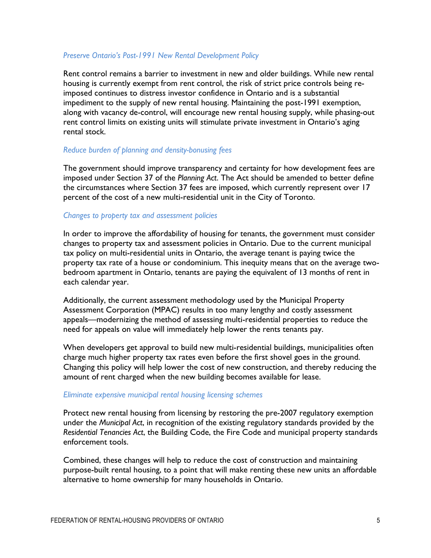#### *Preserve Ontario's Post-1991 New Rental Development Policy*

Rent control remains a barrier to investment in new and older buildings. While new rental housing is currently exempt from rent control, the risk of strict price controls being reimposed continues to distress investor confidence in Ontario and is a substantial impediment to the supply of new rental housing. Maintaining the post-1991 exemption, along with vacancy de-control, will encourage new rental housing supply, while phasing-out rent control limits on existing units will stimulate private investment in Ontario's aging rental stock.

#### *Reduce burden of planning and density-bonusing fees*

The government should improve transparency and certainty for how development fees are imposed under Section 37 of the *Planning Act*. The Act should be amended to better define the circumstances where Section 37 fees are imposed, which currently represent over 17 percent of the cost of a new multi-residential unit in the City of Toronto.

#### *Changes to property tax and assessment policies*

In order to improve the affordability of housing for tenants, the government must consider changes to property tax and assessment policies in Ontario. Due to the current municipal tax policy on multi-residential units in Ontario, the average tenant is paying twice the property tax rate of a house or condominium. This inequity means that on the average twobedroom apartment in Ontario, tenants are paying the equivalent of 13 months of rent in each calendar year.

Additionally, the current assessment methodology used by the Municipal Property Assessment Corporation (MPAC) results in too many lengthy and costly assessment appeals—modernizing the method of assessing multi-residential properties to reduce the need for appeals on value will immediately help lower the rents tenants pay.

When developers get approval to build new multi-residential buildings, municipalities often charge much higher property tax rates even before the first shovel goes in the ground. Changing this policy will help lower the cost of new construction, and thereby reducing the amount of rent charged when the new building becomes available for lease.

#### *Eliminate expensive municipal rental housing licensing schemes*

Protect new rental housing from licensing by restoring the pre-2007 regulatory exemption under the *Municipal Act*, in recognition of the existing regulatory standards provided by the *Residential Tenancies Act*, the Building Code, the Fire Code and municipal property standards enforcement tools.

Combined, these changes will help to reduce the cost of construction and maintaining purpose-built rental housing, to a point that will make renting these new units an affordable alternative to home ownership for many households in Ontario.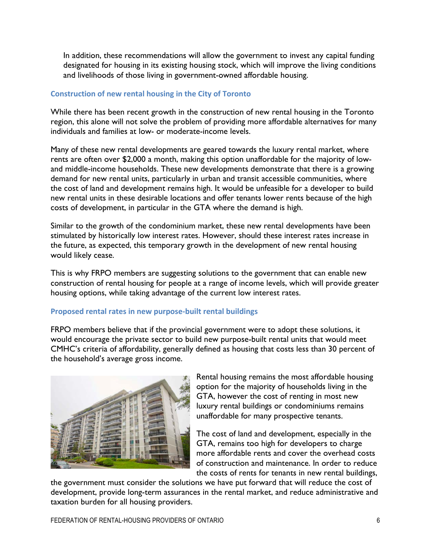In addition, these recommendations will allow the government to invest any capital funding designated for housing in its existing housing stock, which will improve the living conditions and livelihoods of those living in government-owned affordable housing.

#### Construction of new rental housing in the City of Toronto

While there has been recent growth in the construction of new rental housing in the Toronto region, this alone will not solve the problem of providing more affordable alternatives for many individuals and families at low- or moderate-income levels.

Many of these new rental developments are geared towards the luxury rental market, where rents are often over \$2,000 a month, making this option unaffordable for the majority of lowand middle-income households. These new developments demonstrate that there is a growing demand for new rental units, particularly in urban and transit accessible communities, where the cost of land and development remains high. It would be unfeasible for a developer to build new rental units in these desirable locations and offer tenants lower rents because of the high costs of development, in particular in the GTA where the demand is high.

Similar to the growth of the condominium market, these new rental developments have been stimulated by historically low interest rates. However, should these interest rates increase in the future, as expected, this temporary growth in the development of new rental housing would likely cease.

This is why FRPO members are suggesting solutions to the government that can enable new construction of rental housing for people at a range of income levels, which will provide greater housing options, while taking advantage of the current low interest rates.

#### **Proposed rental rates in new purpose-built rental buildings**

FRPO members believe that if the provincial government were to adopt these solutions, it would encourage the private sector to build new purpose-built rental units that would meet CMHC's criteria of affordability, generally defined as housing that costs less than 30 percent of the household's average gross income.



Rental housing remains the most affordable housing option for the majority of households living in the GTA, however the cost of renting in most new luxury rental buildings or condominiums remains unaffordable for many prospective tenants.

The cost of land and development, especially in the GTA, remains too high for developers to charge more affordable rents and cover the overhead costs of construction and maintenance. In order to reduce the costs of rents for tenants in new rental buildings,

the government must consider the solutions we have put forward that will reduce the cost of development, provide long-term assurances in the rental market, and reduce administrative and taxation burden for all housing providers.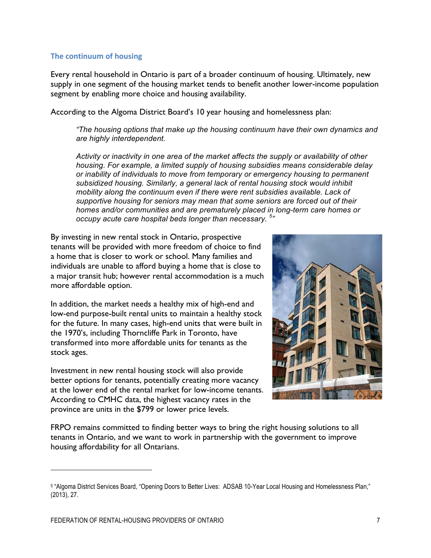#### **The continuum of housing**

Every rental household in Ontario is part of a broader continuum of housing. Ultimately, new supply in one segment of the housing market tends to benefit another lower-income population segment by enabling more choice and housing availability.

According to the Algoma District Board's 10 year housing and homelessness plan:

*"The housing options that make up the housing continuum have their own dynamics and are highly interdependent.* 

*Activity or inactivity in one area of the market affects the supply or availability of other housing. For example, a limited supply of housing subsidies means considerable delay or inability of individuals to move from temporary or emergency housing to permanent subsidized housing. Similarly, a general lack of rental housing stock would inhibit mobility along the continuum even if there were rent subsidies available. Lack of supportive housing for seniors may mean that some seniors are forced out of their homes and/or communities and are prematurely placed in long-term care homes or occupy acute care hospital beds longer than necessary. <sup>5</sup> "*

By investing in new rental stock in Ontario, prospective tenants will be provided with more freedom of choice to find a home that is closer to work or school. Many families and individuals are unable to afford buying a home that is close to a major transit hub; however rental accommodation is a much more affordable option.

In addition, the market needs a healthy mix of high-end and low-end purpose-built rental units to maintain a healthy stock for the future. In many cases, high-end units that were built in the 1970's, including Thorncliffe Park in Toronto, have transformed into more affordable units for tenants as the stock ages.

Investment in new rental housing stock will also provide better options for tenants, potentially creating more vacancy at the lower end of the rental market for low-income tenants. According to CMHC data, the highest vacancy rates in the province are units in the \$799 or lower price levels.



FRPO remains committed to finding better ways to bring the right housing solutions to all tenants in Ontario, and we want to work in partnership with the government to improve housing affordability for all Ontarians.

<sup>5</sup> "Algoma District Services Board, "Opening Doors to Better Lives: ADSAB 10-Year Local Housing and Homelessness Plan," (2013), 27.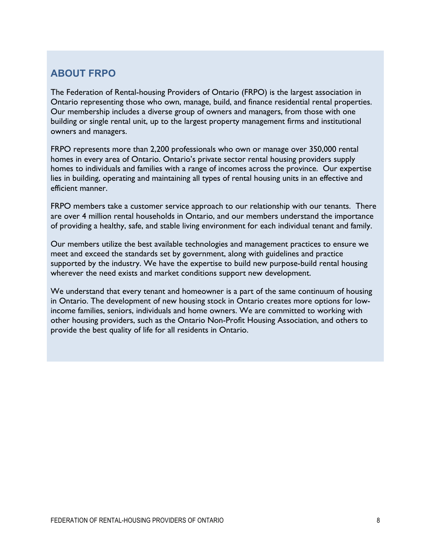# **ABOUT FRPO**

The Federation of Rental-housing Providers of Ontario (FRPO) is the largest association in Ontario representing those who own, manage, build, and finance residential rental properties. Our membership includes a diverse group of owners and managers, from those with one building or single rental unit, up to the largest property management firms and institutional owners and managers.

FRPO represents more than 2,200 professionals who own or manage over 350,000 rental homes in every area of Ontario. Ontario's private sector rental housing providers supply homes to individuals and families with a range of incomes across the province. Our expertise lies in building, operating and maintaining all types of rental housing units in an effective and efficient manner.

FRPO members take a customer service approach to our relationship with our tenants. There are over 4 million rental households in Ontario, and our members understand the importance of providing a healthy, safe, and stable living environment for each individual tenant and family.

Our members utilize the best available technologies and management practices to ensure we meet and exceed the standards set by government, along with guidelines and practice supported by the industry. We have the expertise to build new purpose-build rental housing wherever the need exists and market conditions support new development.

We understand that every tenant and homeowner is a part of the same continuum of housing in Ontario. The development of new housing stock in Ontario creates more options for lowincome families, seniors, individuals and home owners. We are committed to working with other housing providers, such as the Ontario Non-Profit Housing Association, and others to provide the best quality of life for all residents in Ontario.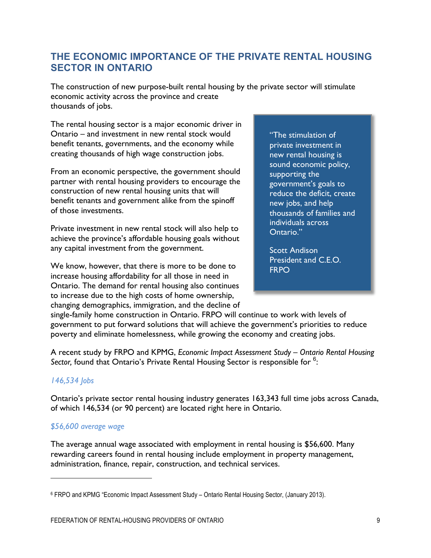# **THE ECONOMIC IMPORTANCE OF THE PRIVATE RENTAL HOUSING SECTOR IN ONTARIO**

The construction of new purpose-built rental housing by the private sector will stimulate economic activity across the province and create thousands of jobs.

The rental housing sector is a major economic driver in Ontario – and investment in new rental stock would benefit tenants, governments, and the economy while creating thousands of high wage construction jobs.

From an economic perspective, the government should partner with rental housing providers to encourage the construction of new rental housing units that will benefit tenants and government alike from the spinoff of those investments.

Private investment in new rental stock will also help to achieve the province's affordable housing goals without any capital investment from the government.

We know, however, that there is more to be done to increase housing affordability for all those in need in Ontario. The demand for rental housing also continues to increase due to the high costs of home ownership, changing demographics, immigration, and the decline of

"The stimulation of private investment in new rental housing is sound economic policy, supporting the government's goals to reduce the deficit, create new jobs, and help thousands of families and individuals across Ontario."

Scott Andison President and C.E.O. **FRPO** 

single-family home construction in Ontario. FRPO will continue to work with levels of government to put forward solutions that will achieve the government's priorities to reduce poverty and eliminate homelessness, while growing the economy and creating jobs.

A recent study by FRPO and KPMG, *Economic Impact Assessment Study – Ontario Rental Housing*  Sector, found that Ontario's Private Rental Housing Sector is responsible for <sup>6</sup>:

#### *146,534 Jobs*

<u>.</u>

Ontario's private sector rental housing industry generates 163,343 full time jobs across Canada, of which 146,534 (or 90 percent) are located right here in Ontario.

### *\$56,600 average wage*

The average annual wage associated with employment in rental housing is \$56,600. Many rewarding careers found in rental housing include employment in property management, administration, finance, repair, construction, and technical services.

<sup>6</sup> FRPO and KPMG "Economic Impact Assessment Study – Ontario Rental Housing Sector, (January 2013).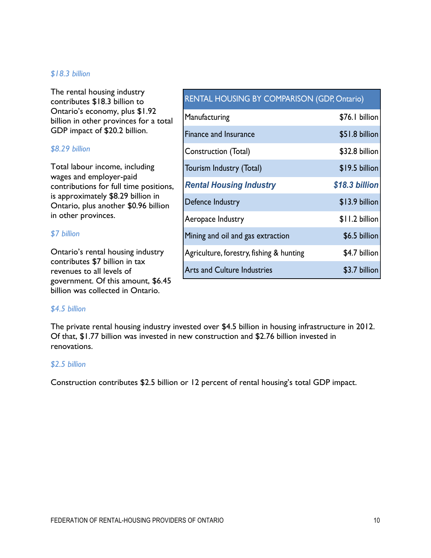#### *\$18.3 billion*

The rental housing industry contributes \$18.3 billion to Ontario's economy, plus \$1.92 billion in other provinces for a total GDP impact of \$20.2 billion.

#### *\$8.29 billion*

Total labour income, including wages and employer-paid contributions for full time positions, is approximately \$8.29 billion in Ontario, plus another \$0.96 billion in other provinces.

#### *\$7 billion*

Ontario's rental housing industry contributes \$7 billion in tax revenues to all levels of government. Of this amount, \$6.45 billion was collected in Ontario.

#### *\$4.5 billion*

The private rental housing industry invested over \$4.5 billion in housing infrastructure in 2012. Of that, \$1.77 billion was invested in new construction and \$2.76 billion invested in renovations.

#### *\$2.5 billion*

Construction contributes \$2.5 billion or 12 percent of rental housing's total GDP impact.

| <b>RENTAL HOUSING BY COMPARISON (GDP, Ontario)</b> |                  |
|----------------------------------------------------|------------------|
| Manufacturing                                      | \$76.1 billion   |
| <b>Finance and Insurance</b>                       | \$51.8 billion   |
| $C_{\text{onstruation}}$ (Total)                   | $$220.0$ hillian |

| <b>Finance and Insurance</b>             | \$51.8 billion |
|------------------------------------------|----------------|
| Construction (Total)                     | \$32.8 billion |
| Tourism Industry (Total)                 | \$19.5 billion |
| <b>Rental Housing Industry</b>           | \$18.3 billion |
| Defence Industry                         | \$13.9 billion |
| Aeropace Industry                        | \$11.2 billion |
| Mining and oil and gas extraction        | \$6.5 billion  |
| Agriculture, forestry, fishing & hunting | \$4.7 billion  |
| <b>Arts and Culture Industries</b>       | \$3.7 billion  |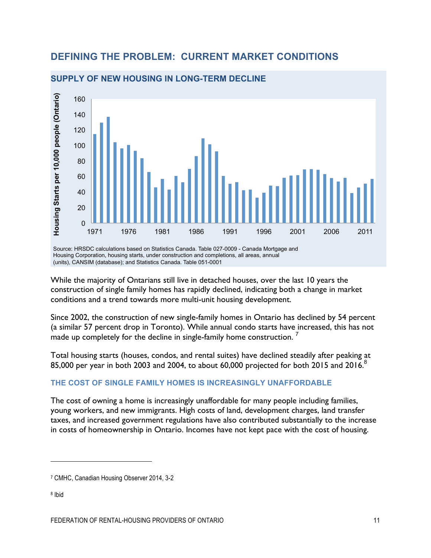# **DEFINING THE PROBLEM: CURRENT MARKET CONDITIONS**



#### **SUPPLY OF NEW HOUSING IN LONG-TERM DECLINE**

Source: HRSDC calculations based on Statistics Canada. Table 027-0009 - Canada Mortgage and Housing Corporation, housing starts, under construction and completions, all areas, annual (units), CANSIM (database); and Statistics Canada. Table 051-0001

While the majority of Ontarians still live in detached houses, over the last 10 years the construction of single family homes has rapidly declined, indicating both a change in market conditions and a trend towards more multi-unit housing development.

Since 2002, the construction of new single-family homes in Ontario has declined by 54 percent (a similar 57 percent drop in Toronto). While annual condo starts have increased, this has not made up completely for the decline in single-family home construction.  $^7$ 

Total housing starts (houses, condos, and rental suites) have declined steadily after peaking at 85,000 per year in both 2003 and 2004, to about 60,000 projected for both 2015 and 2016.<sup>8</sup>

#### **THE COST OF SINGLE FAMILY HOMES IS INCREASINGLY UNAFFORDABLE**

The cost of owning a home is increasingly unaffordable for many people including families, young workers, and new immigrants. High costs of land, development charges, land transfer taxes, and increased government regulations have also contributed substantially to the increase in costs of homeownership in Ontario. Incomes have not kept pace with the cost of housing.

<sup>8</sup> Ibid

<sup>7</sup> CMHC, Canadian Housing Observer 2014, 3-2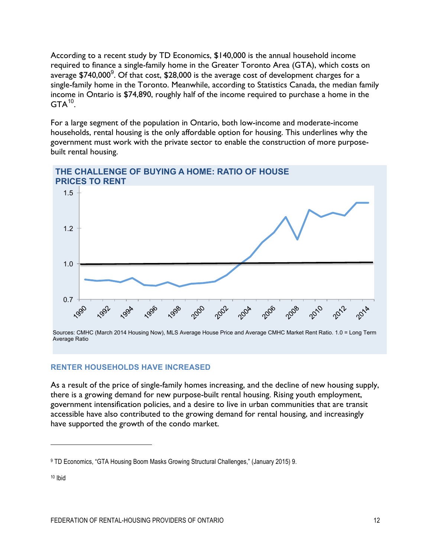According to a recent study by TD Economics, \$140,000 is the annual household income required to finance a single-family home in the Greater Toronto Area (GTA), which costs on average \$740,000 $^9$ . Of that cost, \$28,000 is the average cost of development charges for a single-family home in the Toronto. Meanwhile, according to Statistics Canada, the median family income in Ontario is \$74,890, roughly half of the income required to purchase a home in the  $GTA^{10}$ .

For a large segment of the population in Ontario, both low-income and moderate-income households, rental housing is the only affordable option for housing. This underlines why the government must work with the private sector to enable the construction of more purposebuilt rental housing.



#### **RENTER HOUSEHOLDS HAVE INCREASED**

As a result of the price of single-family homes increasing, and the decline of new housing supply, there is a growing demand for new purpose-built rental housing. Rising youth employment, government intensification policies, and a desire to live in urban communities that are transit accessible have also contributed to the growing demand for rental housing, and increasingly have supported the growth of the condo market.

<sup>9</sup> TD Economics, "GTA Housing Boom Masks Growing Structural Challenges," (January 2015) 9.

<sup>10</sup> Ibid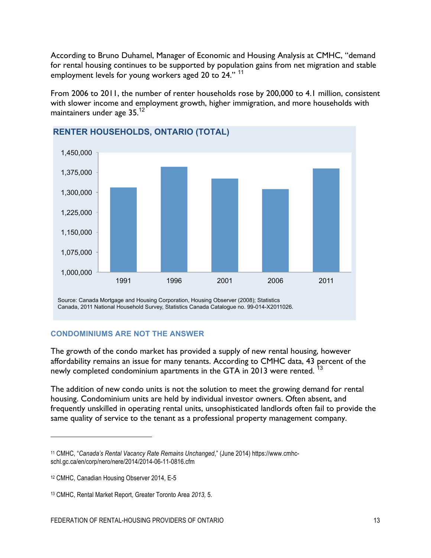According to Bruno Duhamel, Manager of Economic and Housing Analysis at CMHC, "demand for rental housing continues to be supported by population gains from net migration and stable employment levels for young workers aged 20 to 24."<sup>11</sup>

From 2006 to 2011, the number of renter households rose by 200,000 to 4.1 million, consistent with slower income and employment growth, higher immigration, and more households with maintainers under age 35.<sup>12</sup>



#### **CONDOMINIUMS ARE NOT THE ANSWER**

The growth of the condo market has provided a supply of new rental housing, however affordability remains an issue for many tenants. According to CMHC data, 43 percent of the newly completed condominium apartments in the GTA in 2013 were rented.<sup>13</sup>

The addition of new condo units is not the solution to meet the growing demand for rental housing. Condominium units are held by individual investor owners. Often absent, and frequently unskilled in operating rental units, unsophisticated landlords often fail to provide the same quality of service to the tenant as a professional property management company.

1

<sup>11</sup> CMHC, "*Canada's Rental Vacancy Rate Remains Unchanged*," (June 2014) https://www.cmhcschl.gc.ca/en/corp/nero/nere/2014/2014-06-11-0816.cfm

<sup>12</sup> CMHC, Canadian Housing Observer 2014, E-5

<sup>13</sup> CMHC, Rental Market Report, Greater Toronto Area *2013,* 5.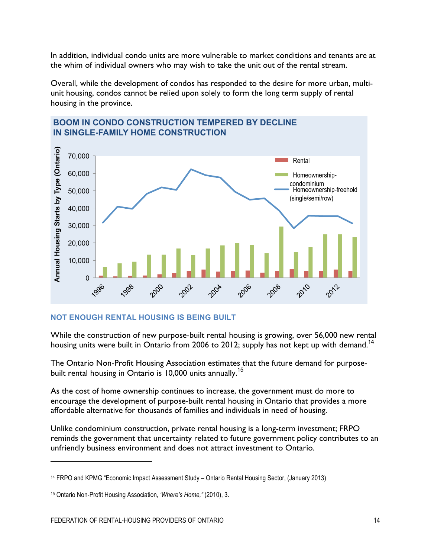In addition, individual condo units are more vulnerable to market conditions and tenants are at the whim of individual owners who may wish to take the unit out of the rental stream.

Overall, while the development of condos has responded to the desire for more urban, multiunit housing, condos cannot be relied upon solely to form the long term supply of rental housing in the province.



# **BOOM IN CONDO CONSTRUCTION TEMPERED BY DECLINE IN SINGLE-FAMILY HOME CONSTRUCTION**

#### **NOT ENOUGH RENTAL HOUSING IS BEING BUILT**

While the construction of new purpose-built rental housing is growing, over 56,000 new rental housing units were built in Ontario from 2006 to 2012; supply has not kept up with demand.<sup>14</sup>

The Ontario Non-Profit Housing Association estimates that the future demand for purposebuilt rental housing in Ontario is 10,000 units annually.<sup>15</sup>

As the cost of home ownership continues to increase, the government must do more to encourage the development of purpose-built rental housing in Ontario that provides a more affordable alternative for thousands of families and individuals in need of housing.

Unlike condominium construction, private rental housing is a long-term investment; FRPO reminds the government that uncertainty related to future government policy contributes to an unfriendly business environment and does not attract investment to Ontario.

<u>.</u>

<sup>14</sup> FRPO and KPMG "Economic Impact Assessment Study – Ontario Rental Housing Sector, (January 2013)

<sup>15</sup> Ontario Non-Profit Housing Association, *'Where's Home,"* (2010), 3.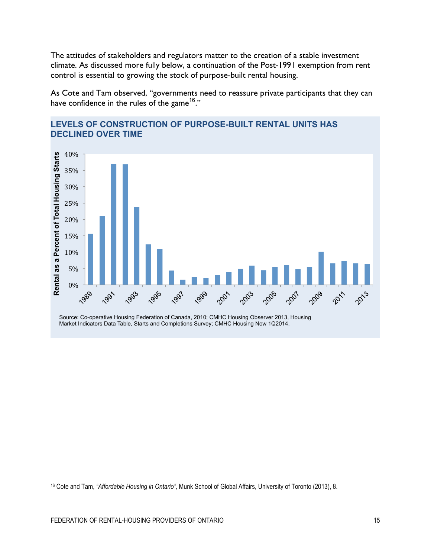The attitudes of stakeholders and regulators matter to the creation of a stable investment climate. As discussed more fully below, a continuation of the Post-1991 exemption from rent control is essential to growing the stock of purpose-built rental housing.

As Cote and Tam observed, "governments need to reassure private participants that they can have confidence in the rules of the game<sup>16</sup>."



#### **LEVELS OF CONSTRUCTION OF PURPOSE-BUILT RENTAL UNITS HAS DECLINED OVER TIME**

Source: Co-operative Housing Federation of Canada, 2010; CMHC Housing Observer 2013, Housing Market Indicators Data Table, Starts and Completions Survey; CMHC Housing Now 1Q2014.

<sup>16</sup> Cote and Tam, *"Affordable Housing in Ontario",* Munk School of Global Affairs, University of Toronto (2013), 8.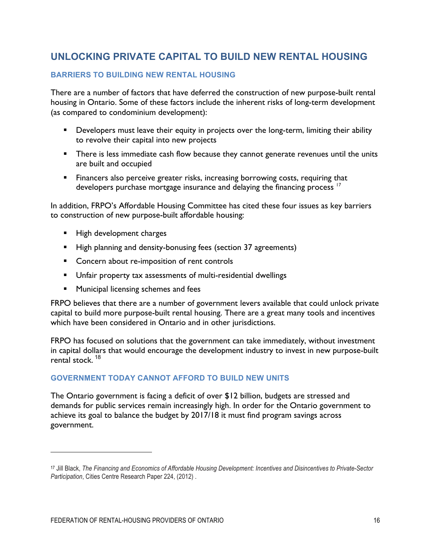# **UNLOCKING PRIVATE CAPITAL TO BUILD NEW RENTAL HOUSING**

#### **BARRIERS TO BUILDING NEW RENTAL HOUSING**

There are a number of factors that have deferred the construction of new purpose-built rental housing in Ontario. Some of these factors include the inherent risks of long-term development (as compared to condominium development):

- **•** Developers must leave their equity in projects over the long-term, limiting their ability to revolve their capital into new projects
- There is less immediate cash flow because they cannot generate revenues until the units are built and occupied
- Financers also perceive greater risks, increasing borrowing costs, requiring that developers purchase mortgage insurance and delaying the financing process  $17$

In addition, FRPO's Affordable Housing Committee has cited these four issues as key barriers to construction of new purpose-built affordable housing:

- High development charges
- High planning and density-bonusing fees (section 37 agreements)
- Concern about re-imposition of rent controls
- § Unfair property tax assessments of multi-residential dwellings
- **EXECUTE:** Municipal licensing schemes and fees

FRPO believes that there are a number of government levers available that could unlock private capital to build more purpose-built rental housing. There are a great many tools and incentives which have been considered in Ontario and in other jurisdictions.

FRPO has focused on solutions that the government can take immediately, without investment in capital dollars that would encourage the development industry to invest in new purpose-built rental stock  $18$ 

### **GOVERNMENT TODAY CANNOT AFFORD TO BUILD NEW UNITS**

The Ontario government is facing a deficit of over \$12 billion, budgets are stressed and demands for public services remain increasingly high. In order for the Ontario government to achieve its goal to balance the budget by 2017/18 it must find program savings across government.

<sup>17</sup> Jill Black, *The Financing and Economics of Affordable Housing Development: Incentives and Disincentives to Private-Sector Participation*, Cities Centre Research Paper 224, (2012) .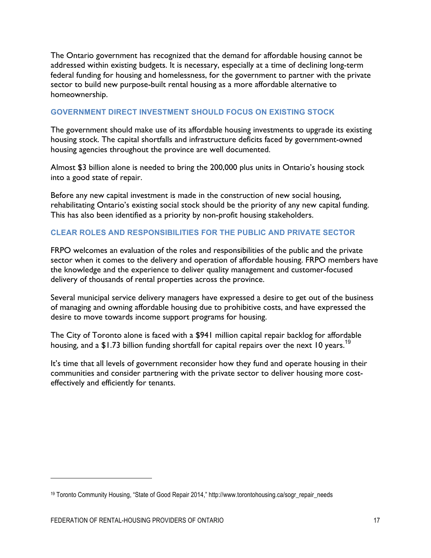The Ontario government has recognized that the demand for affordable housing cannot be addressed within existing budgets. It is necessary, especially at a time of declining long-term federal funding for housing and homelessness, for the government to partner with the private sector to build new purpose-built rental housing as a more affordable alternative to homeownership.

#### **GOVERNMENT DIRECT INVESTMENT SHOULD FOCUS ON EXISTING STOCK**

The government should make use of its affordable housing investments to upgrade its existing housing stock. The capital shortfalls and infrastructure deficits faced by government-owned housing agencies throughout the province are well documented.

Almost \$3 billion alone is needed to bring the 200,000 plus units in Ontario's housing stock into a good state of repair.

Before any new capital investment is made in the construction of new social housing, rehabilitating Ontario's existing social stock should be the priority of any new capital funding. This has also been identified as a priority by non-profit housing stakeholders.

#### **CLEAR ROLES AND RESPONSIBILITIES FOR THE PUBLIC AND PRIVATE SECTOR**

FRPO welcomes an evaluation of the roles and responsibilities of the public and the private sector when it comes to the delivery and operation of affordable housing. FRPO members have the knowledge and the experience to deliver quality management and customer-focused delivery of thousands of rental properties across the province.

Several municipal service delivery managers have expressed a desire to get out of the business of managing and owning affordable housing due to prohibitive costs, and have expressed the desire to move towards income support programs for housing.

The City of Toronto alone is faced with a \$941 million capital repair backlog for affordable housing, and a  $$1.73$  billion funding shortfall for capital repairs over the next 10 years.<sup>19</sup>

It's time that all levels of government reconsider how they fund and operate housing in their communities and consider partnering with the private sector to deliver housing more costeffectively and efficiently for tenants.

<u>.</u>

<sup>19</sup> Toronto Community Housing, "State of Good Repair 2014," http://www.torontohousing.ca/sogr\_repair\_needs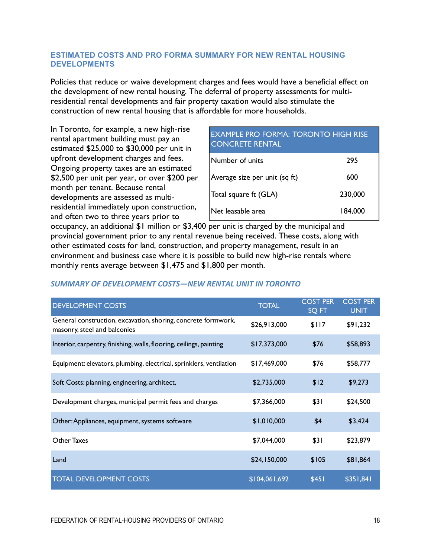#### **ESTIMATED COSTS AND PRO FORMA SUMMARY FOR NEW RENTAL HOUSING DEVELOPMENTS**

Policies that reduce or waive development charges and fees would have a beneficial effect on the development of new rental housing. The deferral of property assessments for multiresidential rental developments and fair property taxation would also stimulate the construction of new rental housing that is affordable for more households.

In Toronto, for example, a new high-rise rental apartment building must pay an estimated \$25,000 to \$30,000 per unit in upfront development charges and fees. Ongoing property taxes are an estimated \$2,500 per unit per year, or over \$200 per month per tenant. Because rental developments are assessed as multiresidential immediately upon construction, and often two to three years prior to

| <b>EXAMPLE PRO FORMA: TORONTO HIGH RISE</b><br><b>CONCRETE RENTAL</b> |         |
|-----------------------------------------------------------------------|---------|
| Number of units                                                       | 295     |
| Average size per unit (sq ft)                                         | 600     |
| Total square ft (GLA)                                                 | 230,000 |
| Net leasable area                                                     | 184,000 |

occupancy, an additional \$1 million or \$3,400 per unit is charged by the municipal and provincial government prior to any rental revenue being received. These costs, along with other estimated costs for land, construction, and property management, result in an environment and business case where it is possible to build new high-rise rentals where monthly rents average between \$1,475 and \$1,800 per month.

#### *SUMMARY OF DEVELOPMENT COSTS—NEW RENTAL UNIT IN TORONTO*

| <b>DEVELOPMENT COSTS</b>                                                                      | <b>TOTAL</b>  | <b>COST PER</b><br>SQ FT | <b>COST PER</b><br><b>UNIT</b> |
|-----------------------------------------------------------------------------------------------|---------------|--------------------------|--------------------------------|
| General construction, excavation, shoring, concrete formwork,<br>masonry, steel and balconies | \$26,913,000  | \$117                    | \$91,232                       |
| Interior, carpentry, finishing, walls, flooring, ceilings, painting                           | \$17,373,000  | \$76                     | \$58,893                       |
| Equipment: elevators, plumbing, electrical, sprinklers, ventilation                           | \$17,469,000  | \$76                     | \$58,777                       |
| Soft Costs: planning, engineering, architect,                                                 | \$2,735,000   | \$12                     | \$9,273                        |
| Development charges, municipal permit fees and charges                                        | \$7,366,000   | \$31                     | \$24,500                       |
| Other: Appliances, equipment, systems software                                                | \$1,010,000   | \$4                      | \$3,424                        |
| <b>Other Taxes</b>                                                                            | \$7,044,000   | \$31                     | \$23,879                       |
| Land                                                                                          | \$24,150,000  | \$105                    | \$81,864                       |
| <b>TOTAL DEVELOPMENT COSTS</b>                                                                | \$104,061,692 | \$451                    | \$351,841                      |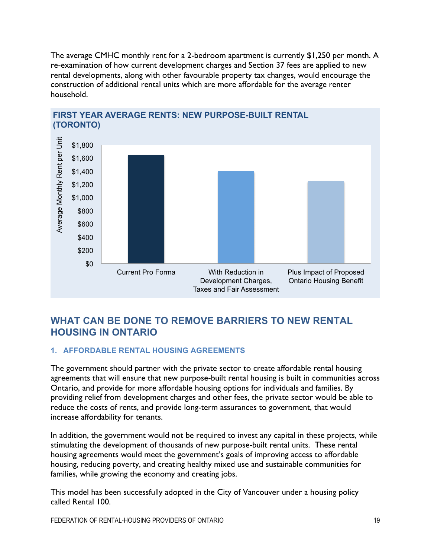The average CMHC monthly rent for a 2-bedroom apartment is currently \$1,250 per month. A re-examination of how current development charges and Section 37 fees are applied to new rental developments, along with other favourable property tax changes, would encourage the construction of additional rental units which are more affordable for the average renter household.



# **FIRST YEAR AVERAGE RENTS: NEW PURPOSE-BUILT RENTAL**

# **WHAT CAN BE DONE TO REMOVE BARRIERS TO NEW RENTAL HOUSING IN ONTARIO**

#### **1. AFFORDABLE RENTAL HOUSING AGREEMENTS**

The government should partner with the private sector to create affordable rental housing agreements that will ensure that new purpose-built rental housing is built in communities across Ontario, and provide for more affordable housing options for individuals and families. By providing relief from development charges and other fees, the private sector would be able to reduce the costs of rents, and provide long-term assurances to government, that would increase affordability for tenants.

In addition, the government would not be required to invest any capital in these projects, while stimulating the development of thousands of new purpose-built rental units. These rental housing agreements would meet the government's goals of improving access to affordable housing, reducing poverty, and creating healthy mixed use and sustainable communities for families, while growing the economy and creating jobs.

This model has been successfully adopted in the City of Vancouver under a housing policy called Rental 100.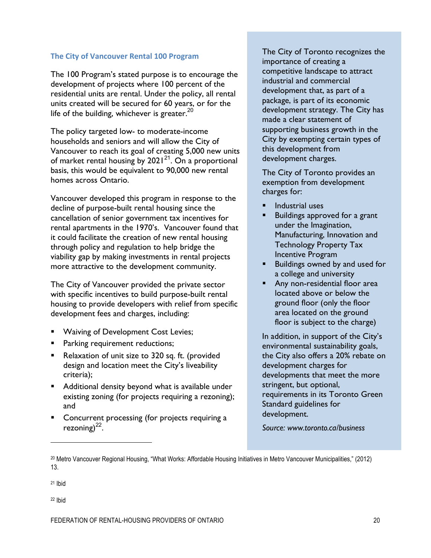#### **The City of Vancouver Rental 100 Program**

The 100 Program's stated purpose is to encourage the development of projects where 100 percent of the residential units are rental. Under the policy, all rental units created will be secured for 60 years, or for the life of the building, whichever is greater. $^{20}$ 

The policy targeted low- to moderate-income households and seniors and will allow the City of Vancouver to reach its goal of creating 5,000 new units of market rental housing by  $2021^{21}$ . On a proportional basis, this would be equivalent to 90,000 new rental homes across Ontario.

Vancouver developed this program in response to the decline of purpose-built rental housing since the cancellation of senior government tax incentives for rental apartments in the 1970's. Vancouver found that it could facilitate the creation of new rental housing through policy and regulation to help bridge the viability gap by making investments in rental projects more attractive to the development community.

The City of Vancouver provided the private sector with specific incentives to build purpose-built rental housing to provide developers with relief from specific development fees and charges, including:

- Waiving of Development Cost Levies;
- **•** Parking requirement reductions;
- Relaxation of unit size to 320 sq. ft. (provided design and location meet the City's liveability criteria);
- Additional density beyond what is available under existing zoning (for projects requiring a rezoning); and
- § Concurrent processing (for projects requiring a rezoning) $^{22}$ .

The City of Toronto recognizes the importance of creating a competitive landscape to attract industrial and commercial development that, as part of a package, is part of its economic development strategy. The City has made a clear statement of supporting business growth in the City by exempting certain types of this development from development charges.

The City of Toronto provides an exemption from development charges for:

- § Industrial uses
- Buildings approved for a grant under the Imagination, Manufacturing, Innovation and Technology Property Tax Incentive Program
- Buildings owned by and used for a college and university
- Any non-residential floor area located above or below the ground floor (only the floor area located on the ground floor is subject to the charge)

In addition, in support of the City's environmental sustainability goals, the City also offers a 20% rebate on development charges for developments that meet the more stringent, but optional, requirements in its Toronto Green Standard guidelines for development.

*Source: www.toronto.ca/business*

<sup>21</sup> Ibid

1

<sup>22</sup> Ibid

<sup>20</sup> Metro Vancouver Regional Housing, "What Works: Affordable Housing Initiatives in Metro Vancouver Municipalities," (2012) 13.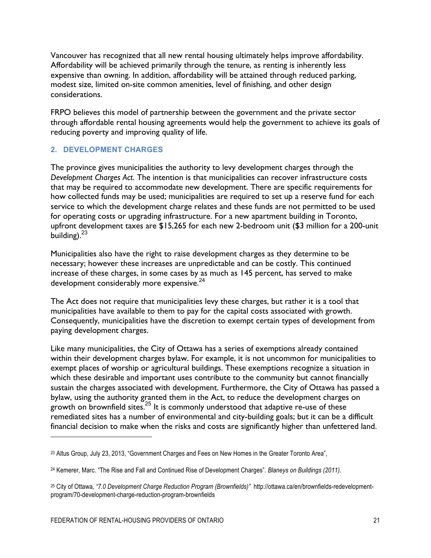Vancouver has recognized that all new rental housing ultimately helps improve affordability. Affordability will be achieved primarily through the tenure, as renting is inherently less expensive than owning. In addition, affordability will be attained through reduced parking, modest size, limited on-site common amenities, level of finishing, and other design considerations.

FRPO believes this model of partnership between the government and the private sector through affordable rental housing agreements would help the government to achieve its goals of reducing poverty and improving quality of life.

#### **2. DEVELOPMENT CHARGES**

The province gives municipalities the authority to levy development charges through the *Development Charges Act*. The intention is that municipalities can recover infrastructure costs that may be required to accommodate new development. There are specific requirements for how collected funds may be used; municipalities are required to set up a reserve fund for each service to which the development charge relates and these funds are not permitted to be used for operating costs or upgrading infrastructure. For a new apartment building in Toronto, upfront development taxes are \$15,265 for each new 2-bedroom unit (\$3 million for a 200-unit building). $23$ 

Municipalities also have the right to raise development charges as they determine to be necessary; however these increases are unpredictable and can be costly. This continued increase of these charges, in some cases by as much as 145 percent, has served to make development considerably more expensive.<sup>24</sup>

The Act does not require that municipalities levy these charges, but rather it is a tool that municipalities have available to them to pay for the capital costs associated with growth. Consequently, municipalities have the discretion to exempt certain types of development from paying development charges.

Like many municipalities, the City of Ottawa has a series of exemptions already contained within their development charges bylaw. For example, it is not uncommon for municipalities to exempt places of worship or agricultural buildings. These exemptions recognize a situation in which these desirable and important uses contribute to the community but cannot financially sustain the charges associated with development. Furthermore, the City of Ottawa has passed a bylaw, using the authority granted them in the Act, to reduce the development charges on growth on brownfield sites.<sup>25</sup> It is commonly understood that adaptive re-use of these remediated sites has a number of environmental and city-building goals; but it can be a difficult financial decision to make when the risks and costs are significantly higher than unfettered land.

1

<sup>23</sup> Altus Group, July 23, 2013, "Government Charges and Fees on New Homes in the Greater Toronto Area",

<sup>24</sup> Kemerer, Marc. "The Rise and Fall and Continued Rise of Development Charges". *Blaneys on Buildings (2011).*

<sup>25</sup> City of Ottawa, *"7.0 Development Charge Reduction Program (Brownfields)"* http://ottawa.ca/en/brownfields-redevelopmentprogram/70-development-charge-reduction-program-brownfields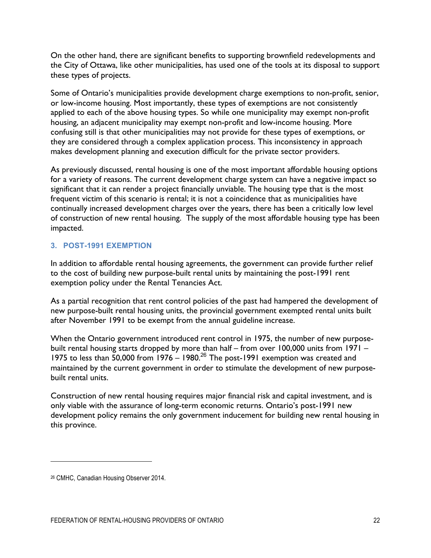On the other hand, there are significant benefits to supporting brownfield redevelopments and the City of Ottawa, like other municipalities, has used one of the tools at its disposal to support these types of projects.

Some of Ontario's municipalities provide development charge exemptions to non-profit, senior, or low-income housing. Most importantly, these types of exemptions are not consistently applied to each of the above housing types. So while one municipality may exempt non-profit housing, an adjacent municipality may exempt non-profit and low-income housing. More confusing still is that other municipalities may not provide for these types of exemptions, or they are considered through a complex application process. This inconsistency in approach makes development planning and execution difficult for the private sector providers.

As previously discussed, rental housing is one of the most important affordable housing options for a variety of reasons. The current development charge system can have a negative impact so significant that it can render a project financially unviable. The housing type that is the most frequent victim of this scenario is rental; it is not a coincidence that as municipalities have continually increased development charges over the years, there has been a critically low level of construction of new rental housing. The supply of the most affordable housing type has been impacted.

#### **3. POST-1991 EXEMPTION**

In addition to affordable rental housing agreements, the government can provide further relief to the cost of building new purpose-built rental units by maintaining the post-1991 rent exemption policy under the Rental Tenancies Act.

As a partial recognition that rent control policies of the past had hampered the development of new purpose-built rental housing units, the provincial government exempted rental units built after November 1991 to be exempt from the annual guideline increase.

When the Ontario government introduced rent control in 1975, the number of new purposebuilt rental housing starts dropped by more than half – from over 100,000 units from 1971 – 1975 to less than  $\frac{50,000}{2}$  from 1976 – 1980.<sup>26</sup> The post-1991 exemption was created and maintained by the current government in order to stimulate the development of new purposebuilt rental units.

Construction of new rental housing requires major financial risk and capital investment, and is only viable with the assurance of long-term economic returns. Ontario's post-1991 new development policy remains the only government inducement for building new rental housing in this province.

<u>.</u>

<sup>26</sup> CMHC, Canadian Housing Observer 2014.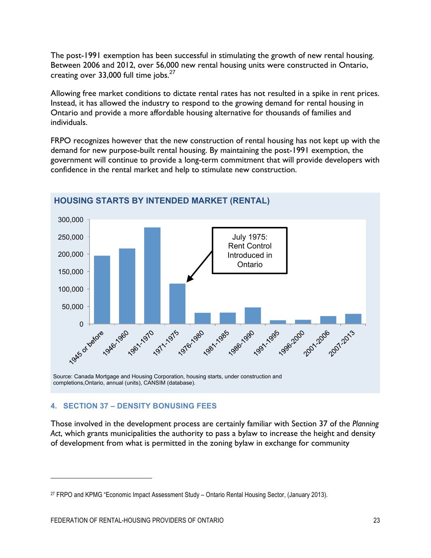The post-1991 exemption has been successful in stimulating the growth of new rental housing. Between 2006 and 2012, over 56,000 new rental housing units were constructed in Ontario, creating over 33,000 full time jobs.<sup>27</sup>

Allowing free market conditions to dictate rental rates has not resulted in a spike in rent prices. Instead, it has allowed the industry to respond to the growing demand for rental housing in Ontario and provide a more affordable housing alternative for thousands of families and individuals.

FRPO recognizes however that the new construction of rental housing has not kept up with the demand for new purpose-built rental housing. By maintaining the post-1991 exemption, the government will continue to provide a long-term commitment that will provide developers with confidence in the rental market and help to stimulate new construction.



## **HOUSING STARTS BY INTENDED MARKET (RENTAL)**

#### **4. SECTION 37 – DENSITY BONUSING FEES**

Those involved in the development process are certainly familiar with Section 37 of the *Planning Act*, which grants municipalities the authority to pass a bylaw to increase the height and density of development from what is permitted in the zoning bylaw in exchange for community

<sup>27</sup> FRPO and KPMG "Economic Impact Assessment Study – Ontario Rental Housing Sector, (January 2013).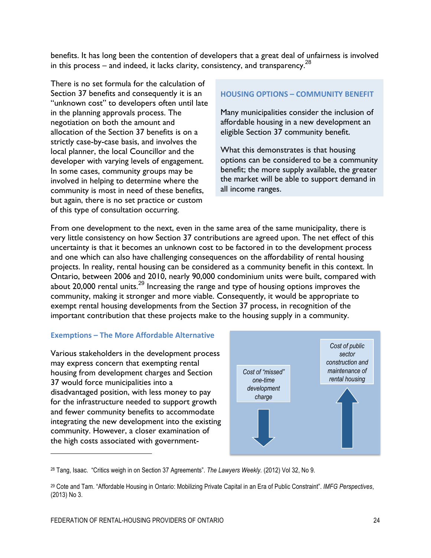benefits. It has long been the contention of developers that a great deal of unfairness is involved in this process – and indeed, it lacks clarity, consistency, and transparency.<sup>28</sup>

There is no set formula for the calculation of Section 37 benefits and consequently it is an "unknown cost" to developers often until late in the planning approvals process. The negotiation on both the amount and allocation of the Section 37 benefits is on a strictly case-by-case basis, and involves the local planner, the local Councillor and the developer with varying levels of engagement. In some cases, community groups may be involved in helping to determine where the community is most in need of these benefits, but again, there is no set practice or custom of this type of consultation occurring.

#### **HOUSING OPTIONS – COMMUNITY BENEFIT**

Many municipalities consider the inclusion of affordable housing in a new development an eligible Section 37 community benefit.

What this demonstrates is that housing options can be considered to be a community benefit; the more supply available, the greater the market will be able to support demand in all income ranges.

From one development to the next, even in the same area of the same municipality, there is very little consistency on how Section 37 contributions are agreed upon. The net effect of this uncertainty is that it becomes an unknown cost to be factored in to the development process and one which can also have challenging consequences on the affordability of rental housing projects. In reality, rental housing can be considered as a community benefit in this context. In Ontario, between 2006 and 2010, nearly 90,000 condominium units were built, compared with about 20,000 rental units.<sup>29</sup> Increasing the range and type of housing options improves the community, making it stronger and more viable. Consequently, it would be appropriate to exempt rental housing developments from the Section 37 process, in recognition of the important contribution that these projects make to the housing supply in a community.

#### **Exemptions – The More Affordable Alternative**

Various stakeholders in the development process may express concern that exempting rental housing from development charges and Section 37 would force municipalities into a disadvantaged position, with less money to pay for the infrastructure needed to support growth and fewer community benefits to accommodate integrating the new development into the existing community. However, a closer examination of the high costs associated with government-

<u>.</u>



<sup>28</sup> Tang, Isaac. "Critics weigh in on Section 37 Agreements". *The Lawyers Weekly.* (2012) Vol 32, No 9.

<sup>29</sup> Cote and Tam. "Affordable Housing in Ontario: Mobilizing Private Capital in an Era of Public Constraint". *IMFG Perspectives*, (2013) No 3.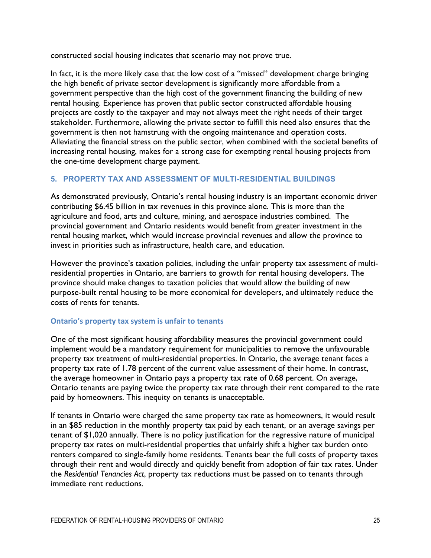constructed social housing indicates that scenario may not prove true.

In fact, it is the more likely case that the low cost of a "missed" development charge bringing the high benefit of private sector development is significantly more affordable from a government perspective than the high cost of the government financing the building of new rental housing. Experience has proven that public sector constructed affordable housing projects are costly to the taxpayer and may not always meet the right needs of their target stakeholder. Furthermore, allowing the private sector to fulfill this need also ensures that the government is then not hamstrung with the ongoing maintenance and operation costs. Alleviating the financial stress on the public sector, when combined with the societal benefits of increasing rental housing, makes for a strong case for exempting rental housing projects from the one-time development charge payment.

#### **5. PROPERTY TAX AND ASSESSMENT OF MULTI-RESIDENTIAL BUILDINGS**

As demonstrated previously, Ontario's rental housing industry is an important economic driver contributing \$6.45 billion in tax revenues in this province alone. This is more than the agriculture and food, arts and culture, mining, and aerospace industries combined. The provincial government and Ontario residents would benefit from greater investment in the rental housing market, which would increase provincial revenues and allow the province to invest in priorities such as infrastructure, health care, and education.

However the province's taxation policies, including the unfair property tax assessment of multiresidential properties in Ontario, are barriers to growth for rental housing developers. The province should make changes to taxation policies that would allow the building of new purpose-built rental housing to be more economical for developers, and ultimately reduce the costs of rents for tenants.

#### **Ontario's property tax system is unfair to tenants**

One of the most significant housing affordability measures the provincial government could implement would be a mandatory requirement for municipalities to remove the unfavourable property tax treatment of multi-residential properties. In Ontario, the average tenant faces a property tax rate of 1.78 percent of the current value assessment of their home. In contrast, the average homeowner in Ontario pays a property tax rate of 0.68 percent. On average, Ontario tenants are paying twice the property tax rate through their rent compared to the rate paid by homeowners. This inequity on tenants is unacceptable.

If tenants in Ontario were charged the same property tax rate as homeowners, it would result in an \$85 reduction in the monthly property tax paid by each tenant, or an average savings per tenant of \$1,020 annually. There is no policy justification for the regressive nature of municipal property tax rates on multi-residential properties that unfairly shift a higher tax burden onto renters compared to single-family home residents. Tenants bear the full costs of property taxes through their rent and would directly and quickly benefit from adoption of fair tax rates. Under the *Residential Tenancies Act*, property tax reductions must be passed on to tenants through immediate rent reductions.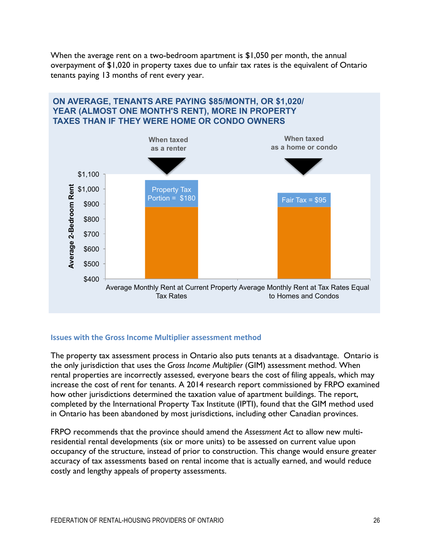When the average rent on a two-bedroom apartment is \$1,050 per month, the annual overpayment of \$1,020 in property taxes due to unfair tax rates is the equivalent of Ontario tenants paying 13 months of rent every year.



#### **Issues with the Gross Income Multiplier assessment method**

The property tax assessment process in Ontario also puts tenants at a disadvantage. Ontario is the only jurisdiction that uses the *Gross Income Multiplier* (GIM) assessment method. When rental properties are incorrectly assessed, everyone bears the cost of filing appeals, which may increase the cost of rent for tenants. A 2014 research report commissioned by FRPO examined how other jurisdictions determined the taxation value of apartment buildings. The report, completed by the International Property Tax Institute (IPTI), found that the GIM method used in Ontario has been abandoned by most jurisdictions, including other Canadian provinces.

FRPO recommends that the province should amend the *Assessment Act* to allow new multiresidential rental developments (six or more units) to be assessed on current value upon occupancy of the structure, instead of prior to construction. This change would ensure greater accuracy of tax assessments based on rental income that is actually earned, and would reduce costly and lengthy appeals of property assessments.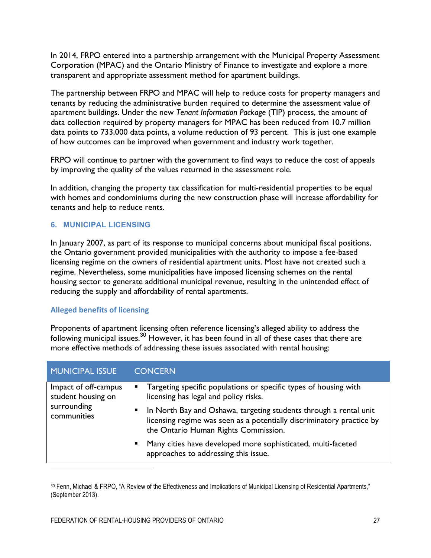In 2014, FRPO entered into a partnership arrangement with the Municipal Property Assessment Corporation (MPAC) and the Ontario Ministry of Finance to investigate and explore a more transparent and appropriate assessment method for apartment buildings.

The partnership between FRPO and MPAC will help to reduce costs for property managers and tenants by reducing the administrative burden required to determine the assessment value of apartment buildings. Under the new *Tenant Information Package* (TIP) process, the amount of data collection required by property managers for MPAC has been reduced from 10.7 million data points to 733,000 data points, a volume reduction of 93 percent. This is just one example of how outcomes can be improved when government and industry work together.

FRPO will continue to partner with the government to find ways to reduce the cost of appeals by improving the quality of the values returned in the assessment role.

In addition, changing the property tax classification for multi-residential properties to be equal with homes and condominiums during the new construction phase will increase affordability for tenants and help to reduce rents.

#### **6. MUNICIPAL LICENSING**

In January 2007, as part of its response to municipal concerns about municipal fiscal positions, the Ontario government provided municipalities with the authority to impose a fee-based licensing regime on the owners of residential apartment units. Most have not created such a regime. Nevertheless, some municipalities have imposed licensing schemes on the rental housing sector to generate additional municipal revenue, resulting in the unintended effect of reducing the supply and affordability of rental apartments.

#### **Alleged benefits of licensing**

 $\overline{a}$ 

Proponents of apartment licensing often reference licensing's alleged ability to address the following municipal issues.<sup>30</sup> However, it has been found in all of these cases that there are more effective methods of addressing these issues associated with rental housing:

| <b>MUNICIPAL ISSUE</b>                                                   | <b>CONCERN</b>                                                                                                                                                                                       |
|--------------------------------------------------------------------------|------------------------------------------------------------------------------------------------------------------------------------------------------------------------------------------------------|
| Impact of off-campus<br>student housing on<br>surrounding<br>communities | • Targeting specific populations or specific types of housing with<br>licensing has legal and policy risks.                                                                                          |
|                                                                          | In North Bay and Oshawa, targeting students through a rental unit<br>$\blacksquare$<br>licensing regime was seen as a potentially discriminatory practice by<br>the Ontario Human Rights Commission. |
|                                                                          | Many cities have developed more sophisticated, multi-faceted<br>$\blacksquare$<br>approaches to addressing this issue.                                                                               |

<sup>30</sup> Fenn, Michael & FRPO, "A Review of the Effectiveness and Implications of Municipal Licensing of Residential Apartments," (September 2013).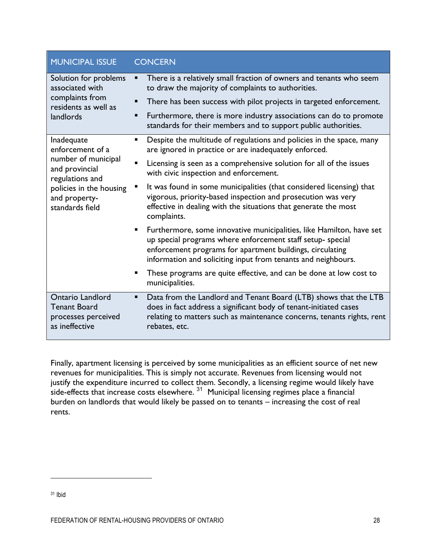| <b>MUNICIPAL ISSUE</b>                                                                                                                                    | <b>CONCERN</b>                                                                                                                                                                                                                                                                                                                                          |
|-----------------------------------------------------------------------------------------------------------------------------------------------------------|---------------------------------------------------------------------------------------------------------------------------------------------------------------------------------------------------------------------------------------------------------------------------------------------------------------------------------------------------------|
| Solution for problems<br>associated with<br>complaints from<br>residents as well as<br>landlords                                                          | There is a relatively small fraction of owners and tenants who seem<br>٠<br>to draw the majority of complaints to authorities.<br>There has been success with pilot projects in targeted enforcement.<br>п<br>Furthermore, there is more industry associations can do to promote<br>٠<br>standards for their members and to support public authorities. |
| Inadequate<br>enforcement of a<br>number of municipal<br>and provincial<br>regulations and<br>policies in the housing<br>and property-<br>standards field | Despite the multitude of regulations and policies in the space, many<br>٠<br>are ignored in practice or are inadequately enforced.                                                                                                                                                                                                                      |
|                                                                                                                                                           | Licensing is seen as a comprehensive solution for all of the issues<br>$\blacksquare$<br>with civic inspection and enforcement.                                                                                                                                                                                                                         |
|                                                                                                                                                           | It was found in some municipalities (that considered licensing) that<br>vigorous, priority-based inspection and prosecution was very<br>effective in dealing with the situations that generate the most<br>complaints.                                                                                                                                  |
|                                                                                                                                                           | Furthermore, some innovative municipalities, like Hamilton, have set<br>٠<br>up special programs where enforcement staff setup- special<br>enforcement programs for apartment buildings, circulating<br>information and soliciting input from tenants and neighbours.                                                                                   |
|                                                                                                                                                           | These programs are quite effective, and can be done at low cost to<br>п<br>municipalities.                                                                                                                                                                                                                                                              |
| <b>Ontario Landlord</b><br><b>Tenant Board</b><br>processes perceived<br>as ineffective                                                                   | Data from the Landlord and Tenant Board (LTB) shows that the LTB<br>٠<br>does in fact address a significant body of tenant-initiated cases<br>relating to matters such as maintenance concerns, tenants rights, rent<br>rebates, etc.                                                                                                                   |

Finally, apartment licensing is perceived by some municipalities as an efficient source of net new revenues for municipalities. This is simply not accurate. Revenues from licensing would not justify the expenditure incurred to collect them. Secondly, a licensing regime would likely have side-effects that increase costs elsewhere.  $31$  Municipal licensing regimes place a financial burden on landlords that would likely be passed on to tenants – increasing the cost of real rents.

<u>.</u>

<sup>31</sup> Ibid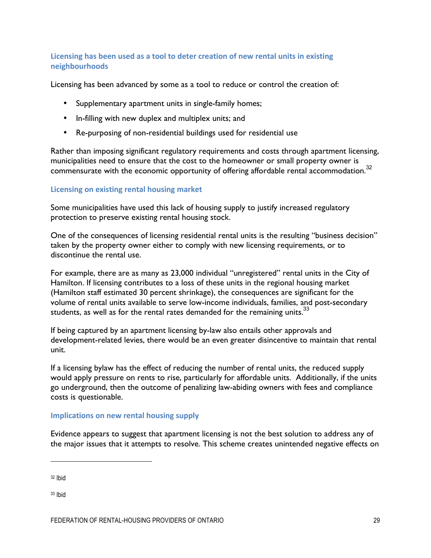#### Licensing has been used as a tool to deter creation of new rental units in existing **neighbourhoods**

Licensing has been advanced by some as a tool to reduce or control the creation of:

- Supplementary apartment units in single-family homes;
- In-filling with new duplex and multiplex units; and
- Re-purposing of non-residential buildings used for residential use

Rather than imposing significant regulatory requirements and costs through apartment licensing, municipalities need to ensure that the cost to the homeowner or small property owner is commensurate with the economic opportunity of offering affordable rental accommodation.<sup>32</sup>

#### **Licensing on existing rental housing market**

Some municipalities have used this lack of housing supply to justify increased regulatory protection to preserve existing rental housing stock.

One of the consequences of licensing residential rental units is the resulting "business decision" taken by the property owner either to comply with new licensing requirements, or to discontinue the rental use.

For example, there are as many as 23,000 individual "unregistered" rental units in the City of Hamilton. If licensing contributes to a loss of these units in the regional housing market (Hamilton staff estimated 30 percent shrinkage), the consequences are significant for the volume of rental units available to serve low-income individuals, families, and post-secondary students, as well as for the rental rates demanded for the remaining units. $33$ 

If being captured by an apartment licensing by-law also entails other approvals and development-related levies, there would be an even greater disincentive to maintain that rental unit.

If a licensing bylaw has the effect of reducing the number of rental units, the reduced supply would apply pressure on rents to rise, particularly for affordable units. Additionally, if the units go underground, then the outcome of penalizing law-abiding owners with fees and compliance costs is questionable.

#### **Implications on new rental housing supply**

Evidence appears to suggest that apartment licensing is not the best solution to address any of the major issues that it attempts to resolve. This scheme creates unintended negative effects on

<sup>32</sup> Ibid

 $\overline{a}$ 

<sup>33</sup> Ibid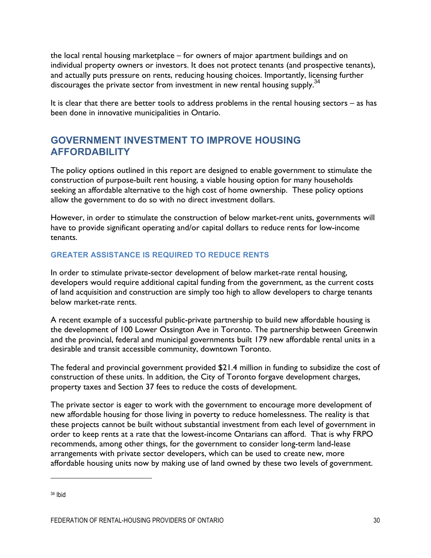the local rental housing marketplace – for owners of major apartment buildings and on individual property owners or investors. It does not protect tenants (and prospective tenants), and actually puts pressure on rents, reducing housing choices. Importantly, licensing further discourages the private sector from investment in new rental housing supply.<sup>34</sup>

It is clear that there are better tools to address problems in the rental housing sectors – as has been done in innovative municipalities in Ontario.

# **GOVERNMENT INVESTMENT TO IMPROVE HOUSING AFFORDABILITY**

The policy options outlined in this report are designed to enable government to stimulate the construction of purpose-built rent housing, a viable housing option for many households seeking an affordable alternative to the high cost of home ownership. These policy options allow the government to do so with no direct investment dollars.

However, in order to stimulate the construction of below market-rent units, governments will have to provide significant operating and/or capital dollars to reduce rents for low-income tenants.

#### **GREATER ASSISTANCE IS REQUIRED TO REDUCE RENTS**

In order to stimulate private-sector development of below market-rate rental housing, developers would require additional capital funding from the government, as the current costs of land acquisition and construction are simply too high to allow developers to charge tenants below market-rate rents.

A recent example of a successful public-private partnership to build new affordable housing is the development of 100 Lower Ossington Ave in Toronto. The partnership between Greenwin and the provincial, federal and municipal governments built 179 new affordable rental units in a desirable and transit accessible community, downtown Toronto.

The federal and provincial government provided \$21.4 million in funding to subsidize the cost of construction of these units. In addition, the City of Toronto forgave development charges, property taxes and Section 37 fees to reduce the costs of development.

The private sector is eager to work with the government to encourage more development of new affordable housing for those living in poverty to reduce homelessness. The reality is that these projects cannot be built without substantial investment from each level of government in order to keep rents at a rate that the lowest-income Ontarians can afford. That is why FRPO recommends, among other things, for the government to consider long-term land-lease arrangements with private sector developers, which can be used to create new, more affordable housing units now by making use of land owned by these two levels of government.

<sup>34</sup> Ibid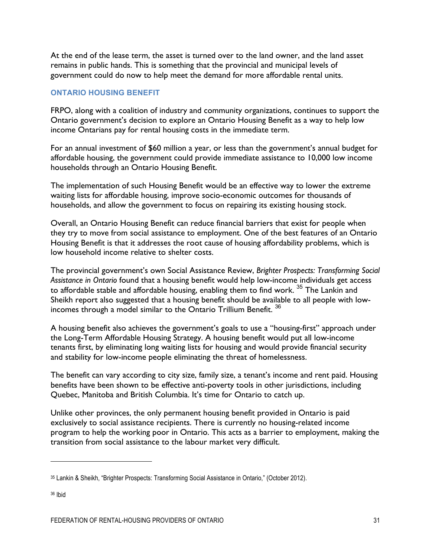At the end of the lease term, the asset is turned over to the land owner, and the land asset remains in public hands. This is something that the provincial and municipal levels of government could do now to help meet the demand for more affordable rental units.

#### **ONTARIO HOUSING BENEFIT**

FRPO, along with a coalition of industry and community organizations, continues to support the Ontario government's decision to explore an Ontario Housing Benefit as a way to help low income Ontarians pay for rental housing costs in the immediate term.

For an annual investment of \$60 million a year, or less than the government's annual budget for affordable housing, the government could provide immediate assistance to 10,000 low income households through an Ontario Housing Benefit.

The implementation of such Housing Benefit would be an effective way to lower the extreme waiting lists for affordable housing, improve socio-economic outcomes for thousands of households, and allow the government to focus on repairing its existing housing stock.

Overall, an Ontario Housing Benefit can reduce financial barriers that exist for people when they try to move from social assistance to employment. One of the best features of an Ontario Housing Benefit is that it addresses the root cause of housing affordability problems, which is low household income relative to shelter costs.

The provincial government's own Social Assistance Review, *Brighter Prospects: Transforming Social Assistance in Ontario* found that a housing benefit would help low-income individuals get access to affordable stable and affordable housing, enabling them to find work. <sup>35</sup> The Lankin and Sheikh report also suggested that a housing benefit should be available to all people with lowincomes through a model similar to the Ontario Trillium Benefit.<sup>36</sup>

A housing benefit also achieves the government's goals to use a "housing-first" approach under the Long-Term Affordable Housing Strategy. A housing benefit would put all low-income tenants first, by eliminating long waiting lists for housing and would provide financial security and stability for low-income people eliminating the threat of homelessness.

The benefit can vary according to city size, family size, a tenant's income and rent paid. Housing benefits have been shown to be effective anti-poverty tools in other jurisdictions, including Quebec, Manitoba and British Columbia. It's time for Ontario to catch up.

Unlike other provinces, the only permanent housing benefit provided in Ontario is paid exclusively to social assistance recipients. There is currently no housing-related income program to help the working poor in Ontario. This acts as a barrier to employment, making the transition from social assistance to the labour market very difficult.

<sup>35</sup> Lankin & Sheikh, "Brighter Prospects: Transforming Social Assistance in Ontario," (October 2012).

<sup>36</sup> Ibid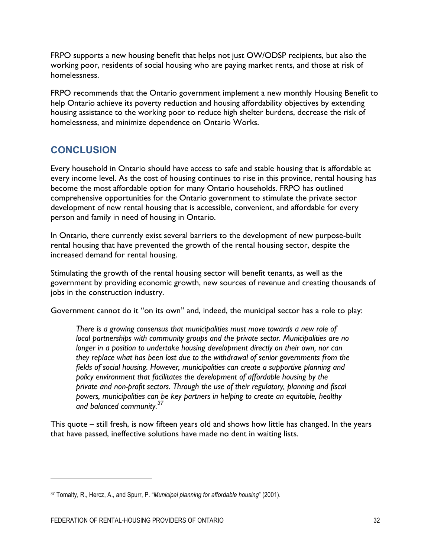FRPO supports a new housing benefit that helps not just OW/ODSP recipients, but also the working poor, residents of social housing who are paying market rents, and those at risk of homelessness.

FRPO recommends that the Ontario government implement a new monthly Housing Benefit to help Ontario achieve its poverty reduction and housing affordability objectives by extending housing assistance to the working poor to reduce high shelter burdens, decrease the risk of homelessness, and minimize dependence on Ontario Works.

# **CONCLUSION**

Every household in Ontario should have access to safe and stable housing that is affordable at every income level. As the cost of housing continues to rise in this province, rental housing has become the most affordable option for many Ontario households. FRPO has outlined comprehensive opportunities for the Ontario government to stimulate the private sector development of new rental housing that is accessible, convenient, and affordable for every person and family in need of housing in Ontario.

In Ontario, there currently exist several barriers to the development of new purpose-built rental housing that have prevented the growth of the rental housing sector, despite the increased demand for rental housing.

Stimulating the growth of the rental housing sector will benefit tenants, as well as the government by providing economic growth, new sources of revenue and creating thousands of jobs in the construction industry.

Government cannot do it "on its own" and, indeed, the municipal sector has a role to play:

*There is a growing consensus that municipalities must move towards a new role of local partnerships with community groups and the private sector. Municipalities are no*  longer in a position to undertake housing development directly on their own, nor can *they replace what has been lost due to the withdrawal of senior governments from the fields of social housing. However, municipalities can create a supportive planning and policy environment that facilitates the development of affordable housing by the private and non-profit sectors. Through the use of their regulatory, planning and fiscal powers, municipalities can be key partners in helping to create an equitable, healthy and balanced community.<sup>37</sup>*

This quote – still fresh, is now fifteen years old and shows how little has changed. In the years that have passed, ineffective solutions have made no dent in waiting lists.

<u>.</u>

<sup>37</sup> Tomalty, R., Hercz, A., and Spurr, P. "*Municipal planning for affordable housing*" (2001).